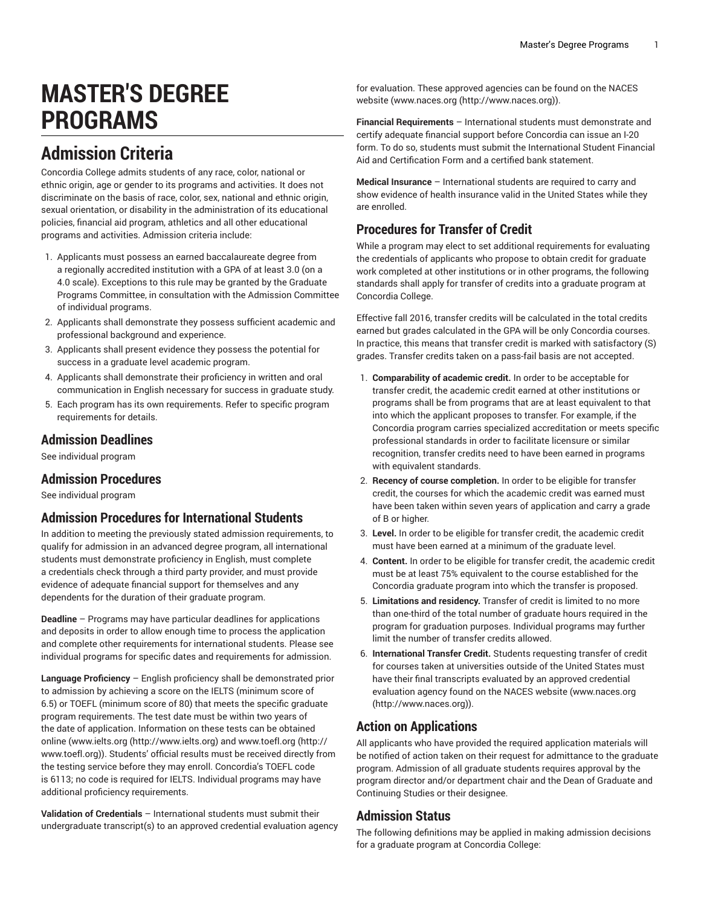# **MASTER'S DEGREE PROGRAMS**

# **Admission Criteria**

Concordia College admits students of any race, color, national or ethnic origin, age or gender to its programs and activities. It does not discriminate on the basis of race, color, sex, national and ethnic origin, sexual orientation, or disability in the administration of its educational policies, financial aid program, athletics and all other educational programs and activities. Admission criteria include:

- 1. Applicants must possess an earned baccalaureate degree from a regionally accredited institution with a GPA of at least 3.0 (on a 4.0 scale). Exceptions to this rule may be granted by the Graduate Programs Committee, in consultation with the Admission Committee of individual programs.
- 2. Applicants shall demonstrate they possess sufficient academic and professional background and experience.
- 3. Applicants shall present evidence they possess the potential for success in a graduate level academic program.
- 4. Applicants shall demonstrate their proficiency in written and oral communication in English necessary for success in graduate study.
- 5. Each program has its own requirements. Refer to specific program requirements for details.

## **Admission Deadlines**

See individual program

## **Admission Procedures**

See individual program

## **Admission Procedures for International Students**

In addition to meeting the previously stated admission requirements, to qualify for admission in an advanced degree program, all international students must demonstrate proficiency in English, must complete a credentials check through a third party provider, and must provide evidence of adequate financial support for themselves and any dependents for the duration of their graduate program.

**Deadline** – Programs may have particular deadlines for applications and deposits in order to allow enough time to process the application and complete other requirements for international students. Please see individual programs for specific dates and requirements for admission.

**Language Proficiency** – English proficiency shall be demonstrated prior to admission by achieving a score on the IELTS (minimum score of 6.5) or TOEFL (minimum score of 80) that meets the specific graduate program requirements. The test date must be within two years of the date of application. Information on these tests can be obtained online ([www.ielts.org](http://www.ielts.org) [\(http://www.ielts.org](http://www.ielts.org)) and [www.toefl.org](http://www.toefl.org) ([http://](http://www.toefl.org) [www.toefl.org\)](http://www.toefl.org)). Students' official results must be received directly from the testing service before they may enroll. Concordia's TOEFL code is 6113; no code is required for IELTS. Individual programs may have additional proficiency requirements.

**Validation of Credentials** – International students must submit their undergraduate transcript(s) to an approved credential evaluation agency

for evaluation. These approved agencies can be found on the NACES website [\(www.naces.org](http://www.naces.org) (<http://www.naces.org>)).

**Financial Requirements** – International students must demonstrate and certify adequate financial support before Concordia can issue an I-20 form. To do so, students must submit the International Student Financial Aid and Certification Form and a certified bank statement.

**Medical Insurance** – International students are required to carry and show evidence of health insurance valid in the United States while they are enrolled.

## **Procedures for Transfer of Credit**

While a program may elect to set additional requirements for evaluating the credentials of applicants who propose to obtain credit for graduate work completed at other institutions or in other programs, the following standards shall apply for transfer of credits into a graduate program at Concordia College.

Effective fall 2016, transfer credits will be calculated in the total credits earned but grades calculated in the GPA will be only Concordia courses. In practice, this means that transfer credit is marked with satisfactory (S) grades. Transfer credits taken on a pass-fail basis are not accepted.

- 1. **Comparability of academic credit.** In order to be acceptable for transfer credit, the academic credit earned at other institutions or programs shall be from programs that are at least equivalent to that into which the applicant proposes to transfer. For example, if the Concordia program carries specialized accreditation or meets specific professional standards in order to facilitate licensure or similar recognition, transfer credits need to have been earned in programs with equivalent standards.
- 2. **Recency of course completion.** In order to be eligible for transfer credit, the courses for which the academic credit was earned must have been taken within seven years of application and carry a grade of B or higher.
- 3. **Level.** In order to be eligible for transfer credit, the academic credit must have been earned at a minimum of the graduate level.
- 4. **Content.** In order to be eligible for transfer credit, the academic credit must be at least 75% equivalent to the course established for the Concordia graduate program into which the transfer is proposed.
- 5. **Limitations and residency.** Transfer of credit is limited to no more than one-third of the total number of graduate hours required in the program for graduation purposes. Individual programs may further limit the number of transfer credits allowed.
- 6. **International Transfer Credit.** Students requesting transfer of credit for courses taken at universities outside of the United States must have their final transcripts evaluated by an approved credential evaluation agency found on the NACES website [\(www.naces.org](http://www.naces.org) [\(http://www.naces.org\)](http://www.naces.org)).

## **Action on Applications**

All applicants who have provided the required application materials will be notified of action taken on their request for admittance to the graduate program. Admission of all graduate students requires approval by the program director and/or department chair and the Dean of Graduate and Continuing Studies or their designee.

## **Admission Status**

The following definitions may be applied in making admission decisions for a graduate program at Concordia College: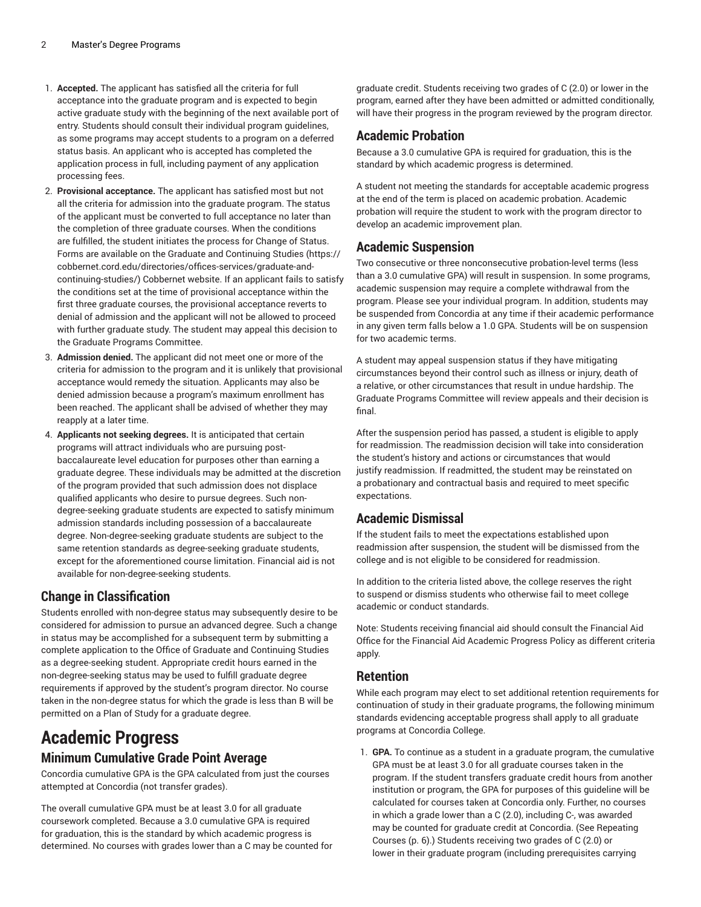- 1. **Accepted.** The applicant has satisfied all the criteria for full acceptance into the graduate program and is expected to begin active graduate study with the beginning of the next available port of entry. Students should consult their individual program guidelines, as some programs may accept students to a program on a deferred status basis. An applicant who is accepted has completed the application process in full, including payment of any application processing fees.
- 2. **Provisional acceptance.** The applicant has satisfied most but not all the criteria for admission into the graduate program. The status of the applicant must be converted to full acceptance no later than the completion of three graduate courses. When the conditions are fulfilled, the student initiates the process for Change of Status. Forms are available on the [Graduate and Continuing Studies \(https://](https://cobbernet.cord.edu/directories/offices-services/graduate-and-continuing-studies/) [cobbernet.cord.edu/directories/offices-services/graduate-and](https://cobbernet.cord.edu/directories/offices-services/graduate-and-continuing-studies/)[continuing-studies/](https://cobbernet.cord.edu/directories/offices-services/graduate-and-continuing-studies/)) Cobbernet website. If an applicant fails to satisfy the conditions set at the time of provisional acceptance within the first three graduate courses, the provisional acceptance reverts to denial of admission and the applicant will not be allowed to proceed with further graduate study. The student may appeal this decision to the Graduate Programs Committee.
- 3. **Admission denied.** The applicant did not meet one or more of the criteria for admission to the program and it is unlikely that provisional acceptance would remedy the situation. Applicants may also be denied admission because a program's maximum enrollment has been reached. The applicant shall be advised of whether they may reapply at a later time.
- 4. **Applicants not seeking degrees.** It is anticipated that certain programs will attract individuals who are pursuing postbaccalaureate level education for purposes other than earning a graduate degree. These individuals may be admitted at the discretion of the program provided that such admission does not displace qualified applicants who desire to pursue degrees. Such nondegree-seeking graduate students are expected to satisfy minimum admission standards including possession of a baccalaureate degree. Non-degree-seeking graduate students are subject to the same retention standards as degree-seeking graduate students, except for the aforementioned course limitation. Financial aid is not available for non-degree-seeking students.

## **Change in Classification**

Students enrolled with non-degree status may subsequently desire to be considered for admission to pursue an advanced degree. Such a change in status may be accomplished for a subsequent term by submitting a complete application to the Office of Graduate and Continuing Studies as a degree-seeking student. Appropriate credit hours earned in the non-degree-seeking status may be used to fulfill graduate degree requirements if approved by the student's program director. No course taken in the non-degree status for which the grade is less than B will be permitted on a Plan of Study for a graduate degree.

# **Academic Progress**

## **Minimum Cumulative Grade Point Average**

Concordia cumulative GPA is the GPA calculated from just the courses attempted at Concordia (not transfer grades).

The overall cumulative GPA must be at least 3.0 for all graduate coursework completed. Because a 3.0 cumulative GPA is required for graduation, this is the standard by which academic progress is determined. No courses with grades lower than a C may be counted for

graduate credit. Students receiving two grades of C (2.0) or lower in the program, earned after they have been admitted or admitted conditionally, will have their progress in the program reviewed by the program director.

## **Academic Probation**

Because a 3.0 cumulative GPA is required for graduation, this is the standard by which academic progress is determined.

A student not meeting the standards for acceptable academic progress at the end of the term is placed on academic probation. Academic probation will require the student to work with the program director to develop an academic improvement plan.

## **Academic Suspension**

Two consecutive or three nonconsecutive probation-level terms (less than a 3.0 cumulative GPA) will result in suspension. In some programs, academic suspension may require a complete withdrawal from the program. Please see your individual program. In addition, students may be suspended from Concordia at any time if their academic performance in any given term falls below a 1.0 GPA. Students will be on suspension for two academic terms.

A student may appeal suspension status if they have mitigating circumstances beyond their control such as illness or injury, death of a relative, or other circumstances that result in undue hardship. The Graduate Programs Committee will review appeals and their decision is final.

After the suspension period has passed, a student is eligible to apply for readmission. The readmission decision will take into consideration the student's history and actions or circumstances that would justify readmission. If readmitted, the student may be reinstated on a probationary and contractual basis and required to meet specific expectations.

## **Academic Dismissal**

If the student fails to meet the expectations established upon readmission after suspension, the student will be dismissed from the college and is not eligible to be considered for readmission.

In addition to the criteria listed above, the college reserves the right to suspend or dismiss students who otherwise fail to meet college academic or conduct standards.

Note: Students receiving financial aid should consult the Financial Aid Office for the Financial Aid Academic Progress Policy as different criteria apply.

## **Retention**

While each program may elect to set additional retention requirements for continuation of study in their graduate programs, the following minimum standards evidencing acceptable progress shall apply to all graduate programs at Concordia College.

1. **GPA.** To continue as a student in a graduate program, the cumulative GPA must be at least 3.0 for all graduate courses taken in the program. If the student transfers graduate credit hours from another institution or program, the GPA for purposes of this guideline will be calculated for courses taken at Concordia only. Further, no courses in which a grade lower than a C (2.0), including C-, was awarded may be counted for graduate credit at Concordia. (See [Repeating](#page-5-0) [Courses \(p. 6\)](#page-5-0).) Students receiving two grades of C (2.0) or lower in their graduate program (including prerequisites carrying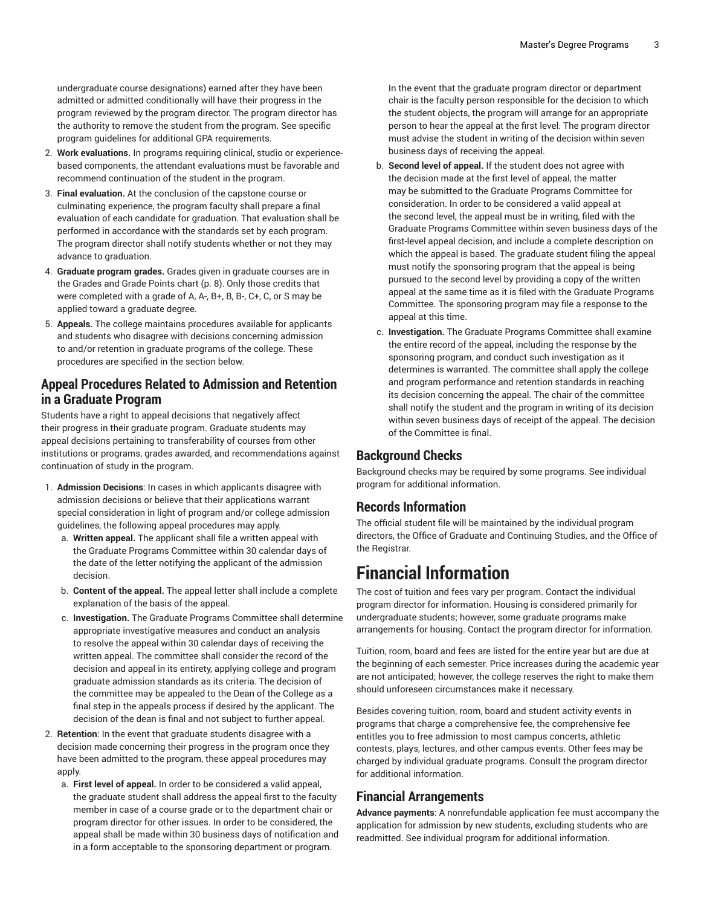undergraduate course designations) earned after they have been admitted or admitted conditionally will have their progress in the program reviewed by the program director. The program director has the authority to remove the student from the program. See specific program guidelines for additional GPA requirements.

- 2. **Work evaluations.** In programs requiring clinical, studio or experiencebased components, the attendant evaluations must be favorable and recommend continuation of the student in the program.
- 3. **Final evaluation.** At the conclusion of the capstone course or culminating experience, the program faculty shall prepare a final evaluation of each candidate for graduation. That evaluation shall be performed in accordance with the standards set by each program. The program director shall notify students whether or not they may advance to graduation.
- 4. **Graduate program grades.** Grades given in graduate courses are in the [Grades](#page-7-0) and Grade Points chart [\(p. 8](#page-7-0)). Only those credits that were completed with a grade of A, A-, B+, B, B-, C+, C, or S may be applied toward a graduate degree.
- 5. **Appeals.** The college maintains procedures available for applicants and students who disagree with decisions concerning admission to and/or retention in graduate programs of the college. These procedures are specified in the section below.

## **Appeal Procedures Related to Admission and Retention in a Graduate Program**

Students have a right to appeal decisions that negatively affect their progress in their graduate program. Graduate students may appeal decisions pertaining to transferability of courses from other institutions or programs, grades awarded, and recommendations against continuation of study in the program.

- 1. **Admission Decisions**: In cases in which applicants disagree with admission decisions or believe that their applications warrant special consideration in light of program and/or college admission guidelines, the following appeal procedures may apply.
	- a. **Written appeal.** The applicant shall file a written appeal with the Graduate Programs Committee within 30 calendar days of the date of the letter notifying the applicant of the admission decision.
	- b. **Content of the appeal.** The appeal letter shall include a complete explanation of the basis of the appeal.
	- c. **Investigation.** The Graduate Programs Committee shall determine appropriate investigative measures and conduct an analysis to resolve the appeal within 30 calendar days of receiving the written appeal. The committee shall consider the record of the decision and appeal in its entirety, applying college and program graduate admission standards as its criteria. The decision of the committee may be appealed to the Dean of the College as a final step in the appeals process if desired by the applicant. The decision of the dean is final and not subject to further appeal.
- 2. **Retention**: In the event that graduate students disagree with a decision made concerning their progress in the program once they have been admitted to the program, these appeal procedures may apply.
	- a. **First level of appeal.** In order to be considered a valid appeal, the graduate student shall address the appeal first to the faculty member in case of a course grade or to the department chair or program director for other issues. In order to be considered, the appeal shall be made within 30 business days of notification and in a form acceptable to the sponsoring department or program.

In the event that the graduate program director or department chair is the faculty person responsible for the decision to which the student objects, the program will arrange for an appropriate person to hear the appeal at the first level. The program director must advise the student in writing of the decision within seven business days of receiving the appeal.

- b. **Second level of appeal.** If the student does not agree with the decision made at the first level of appeal, the matter may be submitted to the Graduate Programs Committee for consideration. In order to be considered a valid appeal at the second level, the appeal must be in writing, filed with the Graduate Programs Committee within seven business days of the first-level appeal decision, and include a complete description on which the appeal is based. The graduate student filing the appeal must notify the sponsoring program that the appeal is being pursued to the second level by providing a copy of the written appeal at the same time as it is filed with the Graduate Programs Committee. The sponsoring program may file a response to the appeal at this time.
- c. **Investigation.** The Graduate Programs Committee shall examine the entire record of the appeal, including the response by the sponsoring program, and conduct such investigation as it determines is warranted. The committee shall apply the college and program performance and retention standards in reaching its decision concerning the appeal. The chair of the committee shall notify the student and the program in writing of its decision within seven business days of receipt of the appeal. The decision of the Committee is final.

## **Background Checks**

Background checks may be required by some programs. See individual program for additional information.

## **Records Information**

The official student file will be maintained by the individual program directors, the Office of Graduate and Continuing Studies, and the Office of the Registrar.

# **Financial Information**

The cost of tuition and fees vary per program. Contact the individual program director for information. Housing is considered primarily for undergraduate students; however, some graduate programs make arrangements for housing. Contact the program director for information.

Tuition, room, board and fees are listed for the entire year but are due at the beginning of each semester. Price increases during the academic year are not anticipated; however, the college reserves the right to make them should unforeseen circumstances make it necessary.

Besides covering tuition, room, board and student activity events in programs that charge a comprehensive fee, the comprehensive fee entitles you to free admission to most campus concerts, athletic contests, plays, lectures, and other campus events. Other fees may be charged by individual graduate programs. Consult the program director for additional information.

## **Financial Arrangements**

**Advance payments**: A nonrefundable application fee must accompany the application for admission by new students, excluding students who are readmitted. See individual program for additional information.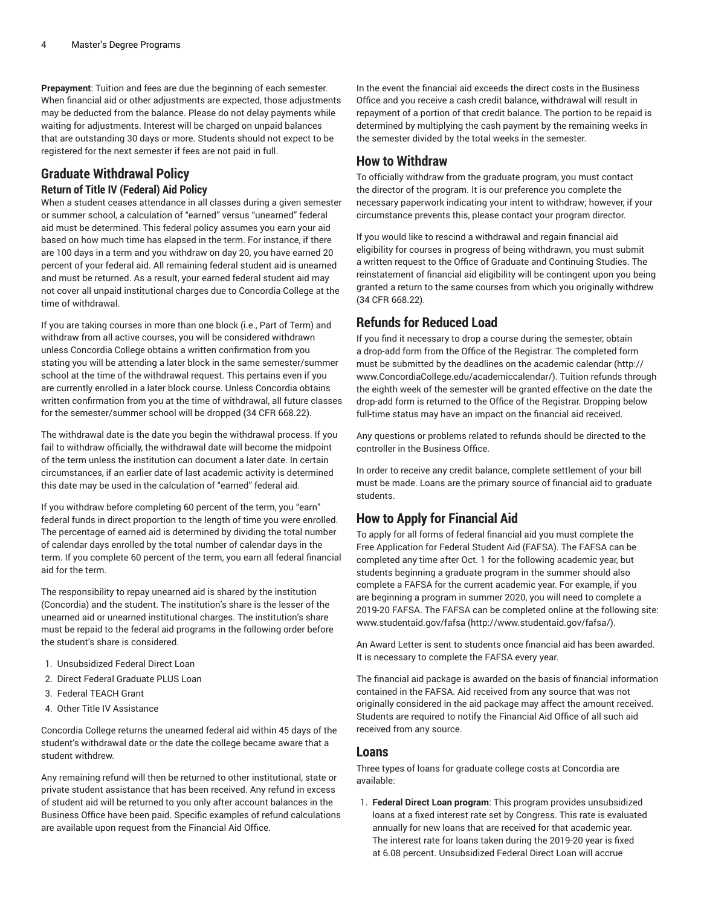**Prepayment**: Tuition and fees are due the beginning of each semester. When financial aid or other adjustments are expected, those adjustments may be deducted from the balance. Please do not delay payments while waiting for adjustments. Interest will be charged on unpaid balances that are outstanding 30 days or more. Students should not expect to be registered for the next semester if fees are not paid in full.

## <span id="page-3-0"></span>**Graduate Withdrawal Policy Return of Title IV (Federal) Aid Policy**

When a student ceases attendance in all classes during a given semester or summer school, a calculation of "earned" versus "unearned" federal aid must be determined. This federal policy assumes you earn your aid based on how much time has elapsed in the term. For instance, if there are 100 days in a term and you withdraw on day 20, you have earned 20 percent of your federal aid. All remaining federal student aid is unearned and must be returned. As a result, your earned federal student aid may not cover all unpaid institutional charges due to Concordia College at the time of withdrawal.

If you are taking courses in more than one block (i.e., Part of Term) and withdraw from all active courses, you will be considered withdrawn unless Concordia College obtains a written confirmation from you stating you will be attending a later block in the same semester/summer school at the time of the withdrawal request. This pertains even if you are currently enrolled in a later block course. Unless Concordia obtains written confirmation from you at the time of withdrawal, all future classes for the semester/summer school will be dropped (34 CFR 668.22).

The withdrawal date is the date you begin the withdrawal process. If you fail to withdraw officially, the withdrawal date will become the midpoint of the term unless the institution can document a later date. In certain circumstances, if an earlier date of last academic activity is determined this date may be used in the calculation of "earned" federal aid.

If you withdraw before completing 60 percent of the term, you "earn" federal funds in direct proportion to the length of time you were enrolled. The percentage of earned aid is determined by dividing the total number of calendar days enrolled by the total number of calendar days in the term. If you complete 60 percent of the term, you earn all federal financial aid for the term.

The responsibility to repay unearned aid is shared by the institution (Concordia) and the student. The institution's share is the lesser of the unearned aid or unearned institutional charges. The institution's share must be repaid to the federal aid programs in the following order before the student's share is considered.

- 1. Unsubsidized Federal Direct Loan
- 2. Direct Federal Graduate PLUS Loan
- 3. Federal TEACH Grant
- 4. Other Title IV Assistance

Concordia College returns the unearned federal aid within 45 days of the student's withdrawal date or the date the college became aware that a student withdrew.

Any remaining refund will then be returned to other institutional, state or private student assistance that has been received. Any refund in excess of student aid will be returned to you only after account balances in the Business Office have been paid. Specific examples of refund calculations are available upon request from the Financial Aid Office.

In the event the financial aid exceeds the direct costs in the Business Office and you receive a cash credit balance, withdrawal will result in repayment of a portion of that credit balance. The portion to be repaid is determined by multiplying the cash payment by the remaining weeks in the semester divided by the total weeks in the semester.

## **How to Withdraw**

To officially withdraw from the graduate program, you must contact the director of the program. It is our preference you complete the necessary paperwork indicating your intent to withdraw; however, if your circumstance prevents this, please contact your program director.

If you would like to rescind a withdrawal and regain financial aid eligibility for courses in progress of being withdrawn, you must submit a written request to the Office of Graduate and Continuing Studies. The reinstatement of financial aid eligibility will be contingent upon you being granted a return to the same courses from which you originally withdrew (34 CFR 668.22).

## <span id="page-3-1"></span>**Refunds for Reduced Load**

If you find it necessary to drop a course during the semester, obtain a drop-add form from the Office of the Registrar. The completed form must be submitted by the deadlines on the [academic calendar](http://www.ConcordiaCollege.edu/academiccalendar/) [\(http://](http://www.ConcordiaCollege.edu/academiccalendar/) [www.ConcordiaCollege.edu/academiccalendar/\)](http://www.ConcordiaCollege.edu/academiccalendar/). Tuition refunds through the eighth week of the semester will be granted effective on the date the drop-add form is returned to the Office of the Registrar. Dropping below full-time status may have an impact on the financial aid received.

Any questions or problems related to refunds should be directed to the controller in the Business Office.

In order to receive any credit balance, complete settlement of your bill must be made. Loans are the primary source of financial aid to graduate students.

## **How to Apply for Financial Aid**

To apply for all forms of federal financial aid you must complete the Free Application for Federal Student Aid (FAFSA). The FAFSA can be completed any time after Oct. 1 for the following academic year, but students beginning a graduate program in the summer should also complete a FAFSA for the current academic year. For example, if you are beginning a program in summer 2020, you will need to complete a 2019-20 FAFSA. The FAFSA can be completed online at the following site: [www.studentaid.gov/fafsa \(http://www.studentaid.gov/fafsa/](http://www.studentaid.gov/fafsa/)).

An Award Letter is sent to students once financial aid has been awarded. It is necessary to complete the FAFSA every year.

The financial aid package is awarded on the basis of financial information contained in the FAFSA. Aid received from any source that was not originally considered in the aid package may affect the amount received. Students are required to notify the Financial Aid Office of all such aid received from any source.

### **Loans**

Three types of loans for graduate college costs at Concordia are available:

1. **Federal Direct Loan program**: This program provides unsubsidized loans at a fixed interest rate set by Congress. This rate is evaluated annually for new loans that are received for that academic year. The interest rate for loans taken during the 2019-20 year is fixed at 6.08 percent. Unsubsidized Federal Direct Loan will accrue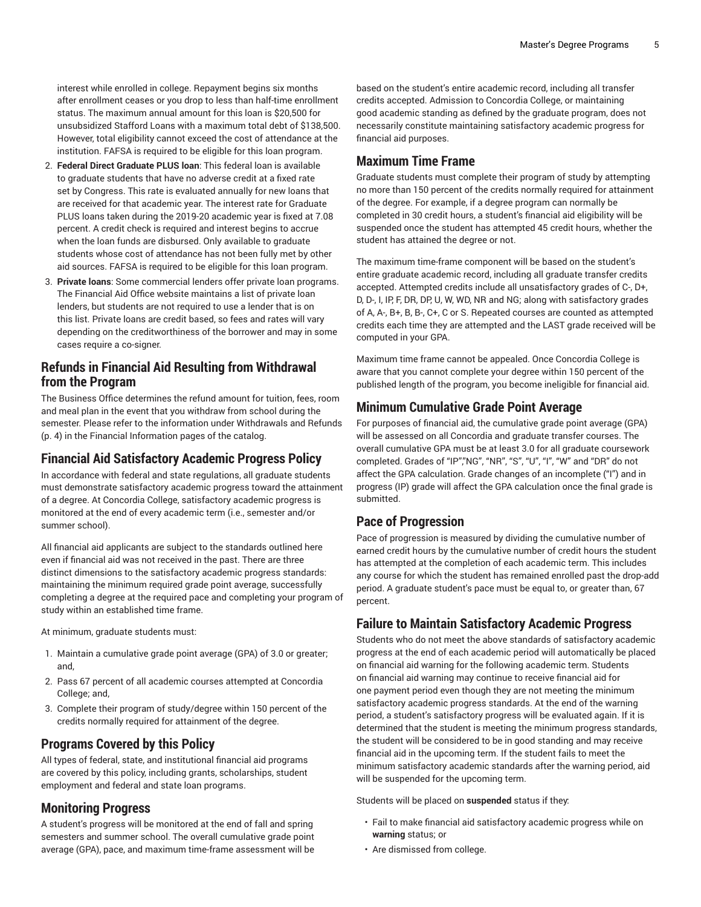interest while enrolled in college. Repayment begins six months after enrollment ceases or you drop to less than half-time enrollment status. The maximum annual amount for this loan is \$20,500 for unsubsidized Stafford Loans with a maximum total debt of \$138,500. However, total eligibility cannot exceed the cost of attendance at the institution. FAFSA is required to be eligible for this loan program.

- 2. **Federal Direct Graduate PLUS loan**: This federal loan is available to graduate students that have no adverse credit at a fixed rate set by Congress. This rate is evaluated annually for new loans that are received for that academic year. The interest rate for Graduate PLUS loans taken during the 2019-20 academic year is fixed at 7.08 percent. A credit check is required and interest begins to accrue when the loan funds are disbursed. Only available to graduate students whose cost of attendance has not been fully met by other aid sources. FAFSA is required to be eligible for this loan program.
- 3. **Private loans**: Some commercial lenders offer private loan programs. The Financial Aid Office website maintains a list of private loan lenders, but students are not required to use a lender that is on this list. Private loans are credit based, so fees and rates will vary depending on the creditworthiness of the borrower and may in some cases require a co-signer.

## **Refunds in Financial Aid Resulting from Withdrawal from the Program**

The Business Office determines the refund amount for tuition, fees, room and meal plan in the event that you withdraw from school during the semester. Please refer to the information under [Withdrawals and Refunds](#page-3-0) ([p. 4\)](#page-3-0) in the Financial Information pages of the catalog.

## **Financial Aid Satisfactory Academic Progress Policy**

In accordance with federal and state regulations, all graduate students must demonstrate satisfactory academic progress toward the attainment of a degree. At Concordia College, satisfactory academic progress is monitored at the end of every academic term (i.e., semester and/or summer school).

All financial aid applicants are subject to the standards outlined here even if financial aid was not received in the past. There are three distinct dimensions to the satisfactory academic progress standards: maintaining the minimum required grade point average, successfully completing a degree at the required pace and completing your program of study within an established time frame.

At minimum, graduate students must:

- 1. Maintain a cumulative grade point average (GPA) of 3.0 or greater; and,
- 2. Pass 67 percent of all academic courses attempted at Concordia College; and,
- 3. Complete their program of study/degree within 150 percent of the credits normally required for attainment of the degree.

## **Programs Covered by this Policy**

All types of federal, state, and institutional financial aid programs are covered by this policy, including grants, scholarships, student employment and federal and state loan programs.

## **Monitoring Progress**

A student's progress will be monitored at the end of fall and spring semesters and summer school. The overall cumulative grade point average (GPA), pace, and maximum time-frame assessment will be

based on the student's entire academic record, including all transfer credits accepted. Admission to Concordia College, or maintaining good academic standing as defined by the graduate program, does not necessarily constitute maintaining satisfactory academic progress for financial aid purposes.

## **Maximum Time Frame**

Graduate students must complete their program of study by attempting no more than 150 percent of the credits normally required for attainment of the degree. For example, if a degree program can normally be completed in 30 credit hours, a student's financial aid eligibility will be suspended once the student has attempted 45 credit hours, whether the student has attained the degree or not.

The maximum time-frame component will be based on the student's entire graduate academic record, including all graduate transfer credits accepted. Attempted credits include all unsatisfactory grades of C-, D+, D, D-, I, IP, F, DR, DP, U, W, WD, NR and NG; along with satisfactory grades of A, A-, B+, B, B-, C+, C or S. Repeated courses are counted as attempted credits each time they are attempted and the LAST grade received will be computed in your GPA.

Maximum time frame cannot be appealed. Once Concordia College is aware that you cannot complete your degree within 150 percent of the published length of the program, you become ineligible for financial aid.

## **Minimum Cumulative Grade Point Average**

For purposes of financial aid, the cumulative grade point average (GPA) will be assessed on all Concordia and graduate transfer courses. The overall cumulative GPA must be at least 3.0 for all graduate coursework completed. Grades of "IP","NG", "NR", "S", "U", "I", "W" and "DR" do not affect the GPA calculation. Grade changes of an incomplete ("I") and in progress (IP) grade will affect the GPA calculation once the final grade is submitted.

## **Pace of Progression**

Pace of progression is measured by dividing the cumulative number of earned credit hours by the cumulative number of credit hours the student has attempted at the completion of each academic term. This includes any course for which the student has remained enrolled past the drop-add period. A graduate student's pace must be equal to, or greater than, 67 percent.

## **Failure to Maintain Satisfactory Academic Progress**

Students who do not meet the above standards of satisfactory academic progress at the end of each academic period will automatically be placed on financial aid warning for the following academic term. Students on financial aid warning may continue to receive financial aid for one payment period even though they are not meeting the minimum satisfactory academic progress standards. At the end of the warning period, a student's satisfactory progress will be evaluated again. If it is determined that the student is meeting the minimum progress standards, the student will be considered to be in good standing and may receive financial aid in the upcoming term. If the student fails to meet the minimum satisfactory academic standards after the warning period, aid will be suspended for the upcoming term.

Students will be placed on **suspended** status if they:

- Fail to make financial aid satisfactory academic progress while on **warning** status; or
- Are dismissed from college.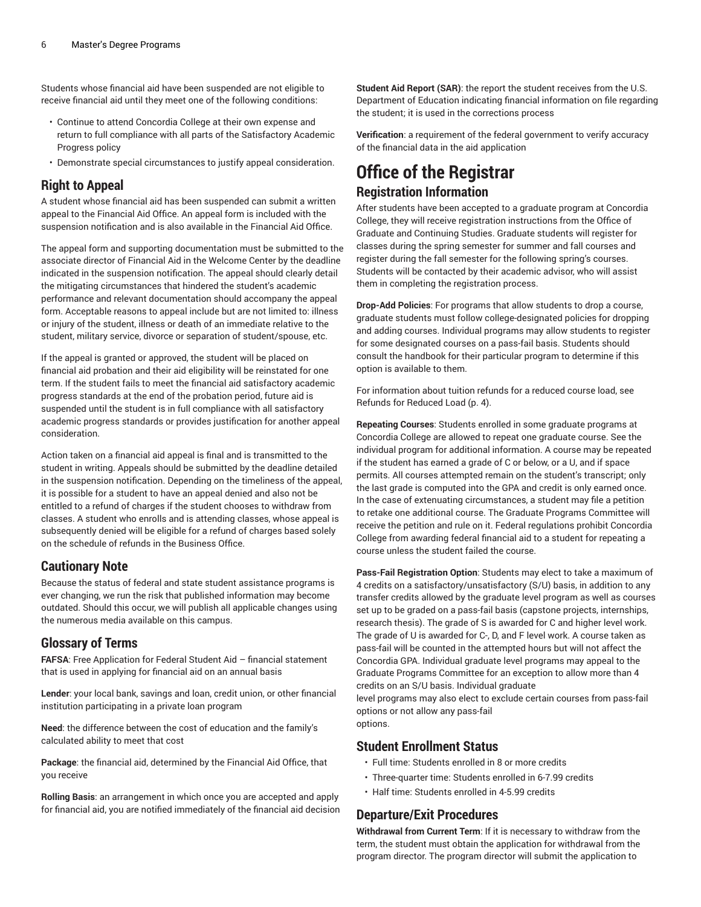Students whose financial aid have been suspended are not eligible to receive financial aid until they meet one of the following conditions:

- Continue to attend Concordia College at their own expense and return to full compliance with all parts of the Satisfactory Academic Progress policy
- Demonstrate special circumstances to justify appeal consideration.

## **Right to Appeal**

A student whose financial aid has been suspended can submit a written appeal to the Financial Aid Office. An appeal form is included with the suspension notification and is also available in the Financial Aid Office.

The appeal form and supporting documentation must be submitted to the associate director of Financial Aid in the Welcome Center by the deadline indicated in the suspension notification. The appeal should clearly detail the mitigating circumstances that hindered the student's academic performance and relevant documentation should accompany the appeal form. Acceptable reasons to appeal include but are not limited to: illness or injury of the student, illness or death of an immediate relative to the student, military service, divorce or separation of student/spouse, etc.

If the appeal is granted or approved, the student will be placed on financial aid probation and their aid eligibility will be reinstated for one term. If the student fails to meet the financial aid satisfactory academic progress standards at the end of the probation period, future aid is suspended until the student is in full compliance with all satisfactory academic progress standards or provides justification for another appeal consideration.

Action taken on a financial aid appeal is final and is transmitted to the student in writing. Appeals should be submitted by the deadline detailed in the suspension notification. Depending on the timeliness of the appeal, it is possible for a student to have an appeal denied and also not be entitled to a refund of charges if the student chooses to withdraw from classes. A student who enrolls and is attending classes, whose appeal is subsequently denied will be eligible for a refund of charges based solely on the schedule of refunds in the Business Office.

## **Cautionary Note**

Because the status of federal and state student assistance programs is ever changing, we run the risk that published information may become outdated. Should this occur, we will publish all applicable changes using the numerous media available on this campus.

## **Glossary of Terms**

**FAFSA**: Free Application for Federal Student Aid – financial statement that is used in applying for financial aid on an annual basis

**Lender**: your local bank, savings and loan, credit union, or other financial institution participating in a private loan program

**Need**: the difference between the cost of education and the family's calculated ability to meet that cost

**Package**: the financial aid, determined by the Financial Aid Office, that you receive

**Rolling Basis**: an arrangement in which once you are accepted and apply for financial aid, you are notified immediately of the financial aid decision

**Student Aid Report (SAR)**: the report the student receives from the U.S. Department of Education indicating financial information on file regarding the student; it is used in the corrections process

**Verification**: a requirement of the federal government to verify accuracy of the financial data in the aid application

## **Office of the Registrar Registration Information**

After students have been accepted to a graduate program at Concordia College, they will receive registration instructions from the Office of Graduate and Continuing Studies. Graduate students will register for classes during the spring semester for summer and fall courses and register during the fall semester for the following spring's courses. Students will be contacted by their academic advisor, who will assist them in completing the registration process.

**Drop-Add Policies**: For programs that allow students to drop a course, graduate students must follow college-designated policies for dropping and adding courses. Individual programs may allow students to register for some designated courses on a pass-fail basis. Students should consult the handbook for their particular program to determine if this option is available to them.

For information about tuition refunds for a reduced course load, see [Refunds for Reduced Load](#page-3-1) ([p. 4\)](#page-3-1).

<span id="page-5-0"></span>**Repeating Courses**: Students enrolled in some graduate programs at Concordia College are allowed to repeat one graduate course. See the individual program for additional information. A course may be repeated if the student has earned a grade of C or below, or a U, and if space permits. All courses attempted remain on the student's transcript; only the last grade is computed into the GPA and credit is only earned once. In the case of extenuating circumstances, a student may file a petition to retake one additional course. The Graduate Programs Committee will receive the petition and rule on it. Federal regulations prohibit Concordia College from awarding federal financial aid to a student for repeating a course unless the student failed the course.

**Pass-Fail Registration Option**: Students may elect to take a maximum of 4 credits on a satisfactory/unsatisfactory (S/U) basis, in addition to any transfer credits allowed by the graduate level program as well as courses set up to be graded on a pass-fail basis (capstone projects, internships, research thesis). The grade of S is awarded for C and higher level work. The grade of U is awarded for C-, D, and F level work. A course taken as pass-fail will be counted in the attempted hours but will not affect the Concordia GPA. Individual graduate level programs may appeal to the Graduate Programs Committee for an exception to allow more than 4 credits on an S/U basis. Individual graduate

level programs may also elect to exclude certain courses from pass-fail options or not allow any pass-fail options.

## **Student Enrollment Status**

- Full time: Students enrolled in 8 or more credits
- Three-quarter time: Students enrolled in 6-7.99 credits
- Half time: Students enrolled in 4-5.99 credits

## <span id="page-5-1"></span>**Departure/Exit Procedures**

**Withdrawal from Current Term**: If it is necessary to withdraw from the term, the student must obtain the application for withdrawal from the program director. The program director will submit the application to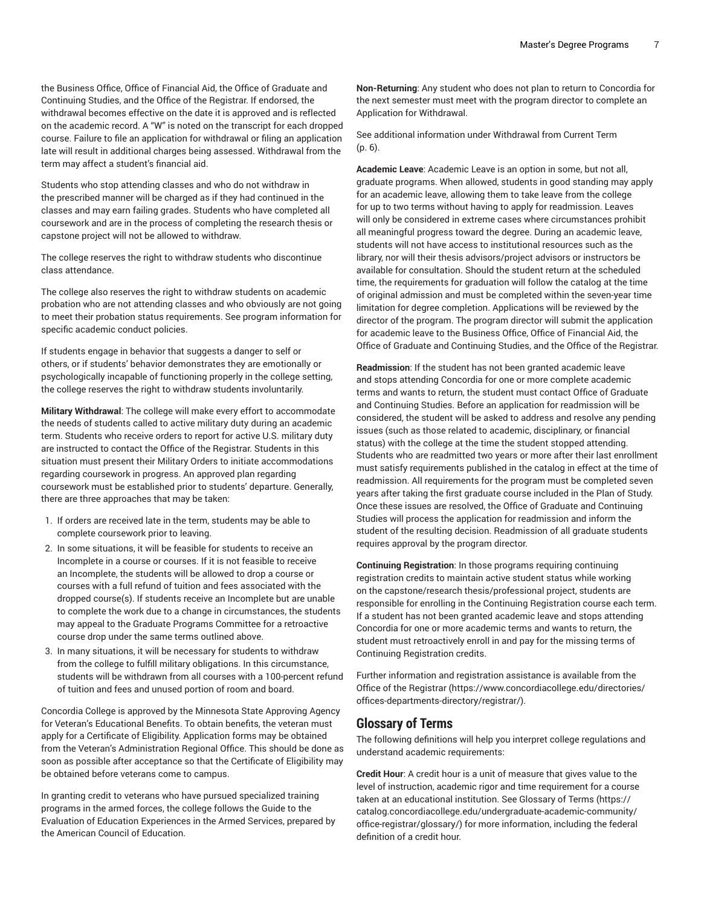the Business Office, Office of Financial Aid, the Office of Graduate and Continuing Studies, and the Office of the Registrar. If endorsed, the withdrawal becomes effective on the date it is approved and is reflected on the academic record. A "W" is noted on the transcript for each dropped course. Failure to file an application for withdrawal or filing an application late will result in additional charges being assessed. Withdrawal from the term may affect a student's financial aid.

Students who stop attending classes and who do not withdraw in the prescribed manner will be charged as if they had continued in the classes and may earn failing grades. Students who have completed all coursework and are in the process of completing the research thesis or capstone project will not be allowed to withdraw.

The college reserves the right to withdraw students who discontinue class attendance.

The college also reserves the right to withdraw students on academic probation who are not attending classes and who obviously are not going to meet their probation status requirements. See program information for specific academic conduct policies.

If students engage in behavior that suggests a danger to self or others, or if students' behavior demonstrates they are emotionally or psychologically incapable of functioning properly in the college setting, the college reserves the right to withdraw students involuntarily.

**Military Withdrawal**: The college will make every effort to accommodate the needs of students called to active military duty during an academic term. Students who receive orders to report for active U.S. military duty are instructed to contact the Office of the Registrar. Students in this situation must present their Military Orders to initiate accommodations regarding coursework in progress. An approved plan regarding coursework must be established prior to students' departure. Generally, there are three approaches that may be taken:

- 1. If orders are received late in the term, students may be able to complete coursework prior to leaving.
- 2. In some situations, it will be feasible for students to receive an Incomplete in a course or courses. If it is not feasible to receive an Incomplete, the students will be allowed to drop a course or courses with a full refund of tuition and fees associated with the dropped course(s). If students receive an Incomplete but are unable to complete the work due to a change in circumstances, the students may appeal to the Graduate Programs Committee for a retroactive course drop under the same terms outlined above.
- 3. In many situations, it will be necessary for students to withdraw from the college to fulfill military obligations. In this circumstance, students will be withdrawn from all courses with a 100-percent refund of tuition and fees and unused portion of room and board.

Concordia College is approved by the Minnesota State Approving Agency for Veteran's Educational Benefits. To obtain benefits, the veteran must apply for a Certificate of Eligibility. Application forms may be obtained from the Veteran's Administration Regional Office. This should be done as soon as possible after acceptance so that the Certificate of Eligibility may be obtained before veterans come to campus.

In granting credit to veterans who have pursued specialized training programs in the armed forces, the college follows the Guide to the Evaluation of Education Experiences in the Armed Services, prepared by the American Council of Education.

**Non-Returning**: Any student who does not plan to return to Concordia for the next semester must meet with the program director to complete an Application for Withdrawal.

See additional information under [Withdrawal](#page-5-1) from Current Term [\(p. 6](#page-5-1)).

**Academic Leave**: Academic Leave is an option in some, but not all, graduate programs. When allowed, students in good standing may apply for an academic leave, allowing them to take leave from the college for up to two terms without having to apply for readmission. Leaves will only be considered in extreme cases where circumstances prohibit all meaningful progress toward the degree. During an academic leave, students will not have access to institutional resources such as the library, nor will their thesis advisors/project advisors or instructors be available for consultation. Should the student return at the scheduled time, the requirements for graduation will follow the catalog at the time of original admission and must be completed within the seven-year time limitation for degree completion. Applications will be reviewed by the director of the program. The program director will submit the application for academic leave to the Business Office, Office of Financial Aid, the Office of Graduate and Continuing Studies, and the Office of the Registrar.

**Readmission**: If the student has not been granted academic leave and stops attending Concordia for one or more complete academic terms and wants to return, the student must contact Office of Graduate and Continuing Studies. Before an application for readmission will be considered, the student will be asked to address and resolve any pending issues (such as those related to academic, disciplinary, or financial status) with the college at the time the student stopped attending. Students who are readmitted two years or more after their last enrollment must satisfy requirements published in the catalog in effect at the time of readmission. All requirements for the program must be completed seven years after taking the first graduate course included in the Plan of Study. Once these issues are resolved, the Office of Graduate and Continuing Studies will process the application for readmission and inform the student of the resulting decision. Readmission of all graduate students requires approval by the program director.

**Continuing Registration**: In those programs requiring continuing registration credits to maintain active student status while working on the capstone/research thesis/professional project, students are responsible for enrolling in the Continuing Registration course each term. If a student has not been granted academic leave and stops attending Concordia for one or more academic terms and wants to return, the student must retroactively enroll in and pay for the missing terms of Continuing Registration credits.

Further information and registration assistance is available from the [Office of the Registrar](https://www.concordiacollege.edu/directories/offices-departments-directory/registrar/) ([https://www.concordiacollege.edu/directories/](https://www.concordiacollege.edu/directories/offices-departments-directory/registrar/) [offices-departments-directory/registrar/\)](https://www.concordiacollege.edu/directories/offices-departments-directory/registrar/).

## **Glossary of Terms**

The following definitions will help you interpret college regulations and understand academic requirements:

**Credit Hour**: A credit hour is a unit of measure that gives value to the level of instruction, academic rigor and time requirement for a course taken at an educational institution. See [Glossary](https://catalog.concordiacollege.edu/undergraduate-academic-community/office-registrar/glossary/) of Terms ([https://](https://catalog.concordiacollege.edu/undergraduate-academic-community/office-registrar/glossary/) [catalog.concordiacollege.edu/undergraduate-academic-community/](https://catalog.concordiacollege.edu/undergraduate-academic-community/office-registrar/glossary/) [office-registrar/glossary/](https://catalog.concordiacollege.edu/undergraduate-academic-community/office-registrar/glossary/)) for more information, including the federal definition of a credit hour.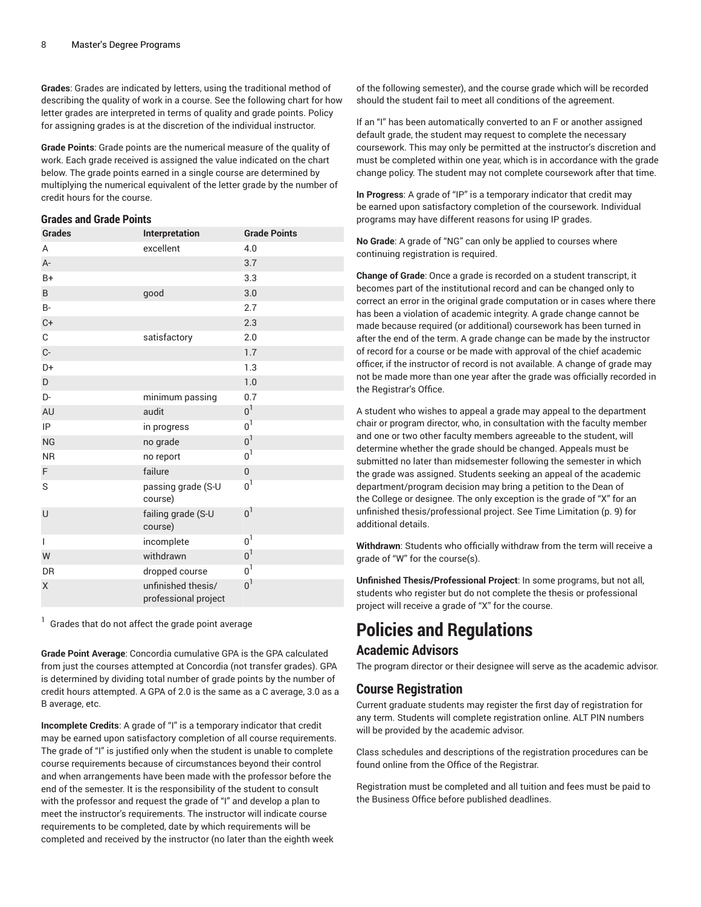**Grades**: Grades are indicated by letters, using the traditional method of describing the quality of work in a course. See the following chart for how letter grades are interpreted in terms of quality and grade points. Policy for assigning grades is at the discretion of the individual instructor.

**Grade Points**: Grade points are the numerical measure of the quality of work. Each grade received is assigned the value indicated on the chart below. The grade points earned in a single course are determined by multiplying the numerical equivalent of the letter grade by the number of credit hours for the course.

### <span id="page-7-0"></span>**Grades and Grade Points**

| <b>Grades</b>  | Interpretation                             | <b>Grade Points</b> |
|----------------|--------------------------------------------|---------------------|
| A              | excellent                                  | 4.0                 |
| $A -$          |                                            | 3.7                 |
| $B+$           |                                            | 3.3                 |
| B              | good                                       | 3.0                 |
| <b>B-</b>      |                                            | 2.7                 |
| $C +$          |                                            | 2.3                 |
| C              | satisfactory                               | 2.0                 |
| $C-$           |                                            | 1.7                 |
| D+             |                                            | 1.3                 |
| D              |                                            | 1.0                 |
| D-             | minimum passing                            | 0.7                 |
| AU             | audit                                      | 0 <sup>1</sup>      |
| IP             | in progress                                | 0 <sup>1</sup>      |
| <b>NG</b>      | no grade                                   | 0 <sup>1</sup>      |
| <b>NR</b>      | no report                                  | 0 <sup>1</sup>      |
| F              | failure                                    | $\overline{0}$      |
| S              | passing grade (S-U<br>course)              | $0^1$               |
| U              | failing grade (S-U<br>course)              | 0 <sup>1</sup>      |
| $\overline{1}$ | incomplete                                 | 0 <sup>1</sup>      |
| W              | withdrawn                                  | 0 <sup>1</sup>      |
| <b>DR</b>      | dropped course                             | 0 <sup>1</sup>      |
| X              | unfinished thesis/<br>professional project | 0 <sup>1</sup>      |

 $1$  Grades that do not affect the grade point average

**Grade Point Average**: Concordia cumulative GPA is the GPA calculated from just the courses attempted at Concordia (not transfer grades). GPA is determined by dividing total number of grade points by the number of credit hours attempted. A GPA of 2.0 is the same as a C average, 3.0 as a B average, etc.

**Incomplete Credits**: A grade of "I" is a temporary indicator that credit may be earned upon satisfactory completion of all course requirements. The grade of "I" is justified only when the student is unable to complete course requirements because of circumstances beyond their control and when arrangements have been made with the professor before the end of the semester. It is the responsibility of the student to consult with the professor and request the grade of "I" and develop a plan to meet the instructor's requirements. The instructor will indicate course requirements to be completed, date by which requirements will be completed and received by the instructor (no later than the eighth week

of the following semester), and the course grade which will be recorded should the student fail to meet all conditions of the agreement.

If an "I" has been automatically converted to an F or another assigned default grade, the student may request to complete the necessary coursework. This may only be permitted at the instructor's discretion and must be completed within one year, which is in accordance with the grade change policy. The student may not complete coursework after that time.

**In Progress**: A grade of "IP" is a temporary indicator that credit may be earned upon satisfactory completion of the coursework. Individual programs may have different reasons for using IP grades.

**No Grade**: A grade of "NG" can only be applied to courses where continuing registration is required.

**Change of Grade**: Once a grade is recorded on a student transcript, it becomes part of the institutional record and can be changed only to correct an error in the original grade computation or in cases where there has been a violation of academic integrity. A grade change cannot be made because required (or additional) coursework has been turned in after the end of the term. A grade change can be made by the instructor of record for a course or be made with approval of the chief academic officer, if the instructor of record is not available. A change of grade may not be made more than one year after the grade was officially recorded in the Registrar's Office.

A student who wishes to appeal a grade may appeal to the department chair or program director, who, in consultation with the faculty member and one or two other faculty members agreeable to the student, will determine whether the grade should be changed. Appeals must be submitted no later than midsemester following the semester in which the grade was assigned. Students seeking an appeal of the academic department/program decision may bring a petition to the Dean of the College or designee. The only exception is the grade of "X" for an unfinished thesis/professional project. See [Time Limitation](#page-8-0) [\(p. 9](#page-8-0)) for additional details.

**Withdrawn**: Students who officially withdraw from the term will receive a grade of "W" for the course(s).

**Unfinished Thesis/Professional Project**: In some programs, but not all, students who register but do not complete the thesis or professional project will receive a grade of "X" for the course.

# **Policies and Regulations**

## **Academic Advisors**

The program director or their designee will serve as the academic advisor.

## **Course Registration**

Current graduate students may register the first day of registration for any term. Students will complete registration online. ALT PIN numbers will be provided by the academic advisor.

Class schedules and descriptions of the registration procedures can be found online from the Office of the Registrar.

Registration must be completed and all tuition and fees must be paid to the Business Office before published deadlines.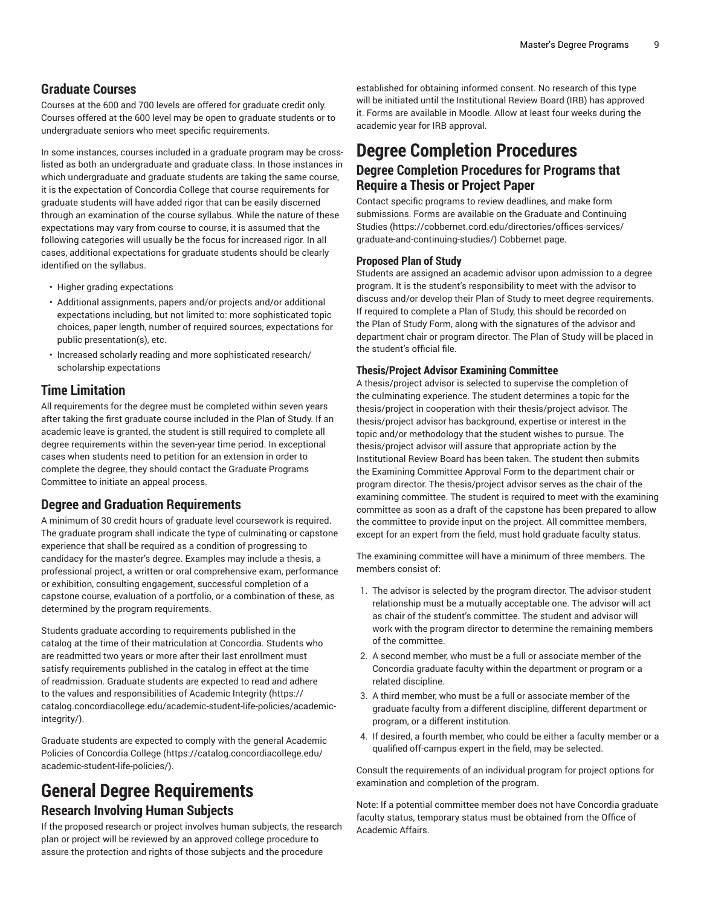## **Graduate Courses**

Courses at the 600 and 700 levels are offered for graduate credit only. Courses offered at the 600 level may be open to graduate students or to undergraduate seniors who meet specific requirements.

In some instances, courses included in a graduate program may be crosslisted as both an undergraduate and graduate class. In those instances in which undergraduate and graduate students are taking the same course, it is the expectation of Concordia College that course requirements for graduate students will have added rigor that can be easily discerned through an examination of the course syllabus. While the nature of these expectations may vary from course to course, it is assumed that the following categories will usually be the focus for increased rigor. In all cases, additional expectations for graduate students should be clearly identified on the syllabus.

- Higher grading expectations
- Additional assignments, papers and/or projects and/or additional expectations including, but not limited to: more sophisticated topic choices, paper length, number of required sources, expectations for public presentation(s), etc.
- Increased scholarly reading and more sophisticated research/ scholarship expectations

## <span id="page-8-0"></span>**Time Limitation**

All requirements for the degree must be completed within seven years after taking the first graduate course included in the Plan of Study. If an academic leave is granted, the student is still required to complete all degree requirements within the seven-year time period. In exceptional cases when students need to petition for an extension in order to complete the degree, they should contact the Graduate Programs Committee to initiate an appeal process.

## **Degree and Graduation Requirements**

A minimum of 30 credit hours of graduate level coursework is required. The graduate program shall indicate the type of culminating or capstone experience that shall be required as a condition of progressing to candidacy for the master's degree. Examples may include a thesis, a professional project, a written or oral comprehensive exam, performance or exhibition, consulting engagement, successful completion of a capstone course, evaluation of a portfolio, or a combination of these, as determined by the program requirements.

Students graduate according to requirements published in the catalog at the time of their matriculation at Concordia. Students who are readmitted two years or more after their last enrollment must satisfy requirements published in the catalog in effect at the time of readmission. Graduate students are expected to read and adhere to the values and responsibilities of [Academic Integrity](https://catalog.concordiacollege.edu/academic-student-life-policies/academic-integrity/) ([https://](https://catalog.concordiacollege.edu/academic-student-life-policies/academic-integrity/) [catalog.concordiacollege.edu/academic-student-life-policies/academic](https://catalog.concordiacollege.edu/academic-student-life-policies/academic-integrity/)[integrity/\)](https://catalog.concordiacollege.edu/academic-student-life-policies/academic-integrity/).

Graduate students are expected to comply with the general [Academic](https://catalog.concordiacollege.edu/academic-student-life-policies/) Policies of [Concordia](https://catalog.concordiacollege.edu/academic-student-life-policies/) College [\(https://catalog.concordiacollege.edu/](https://catalog.concordiacollege.edu/academic-student-life-policies/) [academic-student-life-policies/](https://catalog.concordiacollege.edu/academic-student-life-policies/)).

## **General Degree Requirements Research Involving Human Subjects**

If the proposed research or project involves human subjects, the research plan or project will be reviewed by an approved college procedure to assure the protection and rights of those subjects and the procedure

established for obtaining informed consent. No research of this type will be initiated until the Institutional Review Board (IRB) has approved it. Forms are available in Moodle. Allow at least four weeks during the academic year for IRB approval.

## **Degree Completion Procedures Degree Completion Procedures for Programs that Require a Thesis or Project Paper**

Contact specific programs to review deadlines, and make form submissions. Forms are available on the [Graduate and Continuing](https://cobbernet.cord.edu/directories/offices-services/graduate-and-continuing-studies/) [Studies \(https://cobbernet.cord.edu/directories/offices-services/](https://cobbernet.cord.edu/directories/offices-services/graduate-and-continuing-studies/) [graduate-and-continuing-studies/\)](https://cobbernet.cord.edu/directories/offices-services/graduate-and-continuing-studies/) Cobbernet page.

#### **Proposed Plan of Study**

Students are assigned an academic advisor upon admission to a degree program. It is the student's responsibility to meet with the advisor to discuss and/or develop their Plan of Study to meet degree requirements. If required to complete a Plan of Study, this should be recorded on the Plan of Study Form, along with the signatures of the advisor and department chair or program director. The Plan of Study will be placed in the student's official file.

### **Thesis/Project Advisor Examining Committee**

A thesis/project advisor is selected to supervise the completion of the culminating experience. The student determines a topic for the thesis/project in cooperation with their thesis/project advisor. The thesis/project advisor has background, expertise or interest in the topic and/or methodology that the student wishes to pursue. The thesis/project advisor will assure that appropriate action by the Institutional Review Board has been taken. The student then submits the Examining Committee Approval Form to the department chair or program director. The thesis/project advisor serves as the chair of the examining committee. The student is required to meet with the examining committee as soon as a draft of the capstone has been prepared to allow the committee to provide input on the project. All committee members, except for an expert from the field, must hold graduate faculty status.

The examining committee will have a minimum of three members. The members consist of:

- 1. The advisor is selected by the program director. The advisor-student relationship must be a mutually acceptable one. The advisor will act as chair of the student's committee. The student and advisor will work with the program director to determine the remaining members of the committee.
- 2. A second member, who must be a full or associate member of the Concordia graduate faculty within the department or program or a related discipline.
- 3. A third member, who must be a full or associate member of the graduate faculty from a different discipline, different department or program, or a different institution.
- 4. If desired, a fourth member, who could be either a faculty member or a qualified off-campus expert in the field, may be selected.

Consult the requirements of an individual program for project options for examination and completion of the program.

Note: If a potential committee member does not have Concordia graduate faculty status, temporary status must be obtained from the Office of Academic Affairs.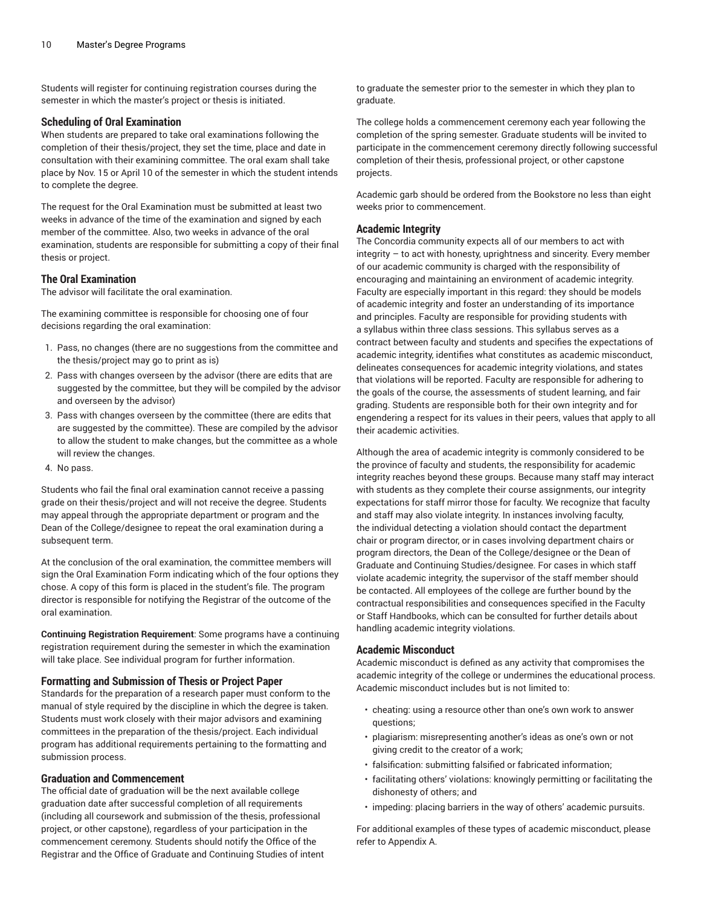Students will register for continuing registration courses during the semester in which the master's project or thesis is initiated.

### **Scheduling of Oral Examination**

When students are prepared to take oral examinations following the completion of their thesis/project, they set the time, place and date in consultation with their examining committee. The oral exam shall take place by Nov. 15 or April 10 of the semester in which the student intends to complete the degree.

The request for the Oral Examination must be submitted at least two weeks in advance of the time of the examination and signed by each member of the committee. Also, two weeks in advance of the oral examination, students are responsible for submitting a copy of their final thesis or project.

### **The Oral Examination**

The advisor will facilitate the oral examination.

The examining committee is responsible for choosing one of four decisions regarding the oral examination:

- 1. Pass, no changes (there are no suggestions from the committee and the thesis/project may go to print as is)
- 2. Pass with changes overseen by the advisor (there are edits that are suggested by the committee, but they will be compiled by the advisor and overseen by the advisor)
- 3. Pass with changes overseen by the committee (there are edits that are suggested by the committee). These are compiled by the advisor to allow the student to make changes, but the committee as a whole will review the changes.
- 4. No pass.

Students who fail the final oral examination cannot receive a passing grade on their thesis/project and will not receive the degree. Students may appeal through the appropriate department or program and the Dean of the College/designee to repeat the oral examination during a subsequent term.

At the conclusion of the oral examination, the committee members will sign the Oral Examination Form indicating which of the four options they chose. A copy of this form is placed in the student's file. The program director is responsible for notifying the Registrar of the outcome of the oral examination.

**Continuing Registration Requirement**: Some programs have a continuing registration requirement during the semester in which the examination will take place. See individual program for further information.

#### **Formatting and Submission of Thesis or Project Paper**

Standards for the preparation of a research paper must conform to the manual of style required by the discipline in which the degree is taken. Students must work closely with their major advisors and examining committees in the preparation of the thesis/project. Each individual program has additional requirements pertaining to the formatting and submission process.

### **Graduation and Commencement**

The official date of graduation will be the next available college graduation date after successful completion of all requirements (including all coursework and submission of the thesis, professional project, or other capstone), regardless of your participation in the commencement ceremony. Students should notify the Office of the Registrar and the Office of Graduate and Continuing Studies of intent to graduate the semester prior to the semester in which they plan to graduate.

The college holds a commencement ceremony each year following the completion of the spring semester. Graduate students will be invited to participate in the commencement ceremony directly following successful completion of their thesis, professional project, or other capstone projects.

Academic garb should be ordered from the Bookstore no less than eight weeks prior to commencement.

### **Academic Integrity**

The Concordia community expects all of our members to act with integrity – to act with honesty, uprightness and sincerity. Every member of our academic community is charged with the responsibility of encouraging and maintaining an environment of academic integrity. Faculty are especially important in this regard: they should be models of academic integrity and foster an understanding of its importance and principles. Faculty are responsible for providing students with a syllabus within three class sessions. This syllabus serves as a contract between faculty and students and specifies the expectations of academic integrity, identifies what constitutes as academic misconduct, delineates consequences for academic integrity violations, and states that violations will be reported. Faculty are responsible for adhering to the goals of the course, the assessments of student learning, and fair grading. Students are responsible both for their own integrity and for engendering a respect for its values in their peers, values that apply to all their academic activities.

Although the area of academic integrity is commonly considered to be the province of faculty and students, the responsibility for academic integrity reaches beyond these groups. Because many staff may interact with students as they complete their course assignments, our integrity expectations for staff mirror those for faculty. We recognize that faculty and staff may also violate integrity. In instances involving faculty, the individual detecting a violation should contact the department chair or program director, or in cases involving department chairs or program directors, the Dean of the College/designee or the Dean of Graduate and Continuing Studies/designee. For cases in which staff violate academic integrity, the supervisor of the staff member should be contacted. All employees of the college are further bound by the contractual responsibilities and consequences specified in the Faculty or Staff Handbooks, which can be consulted for further details about handling academic integrity violations.

### **Academic Misconduct**

Academic misconduct is defined as any activity that compromises the academic integrity of the college or undermines the educational process. Academic misconduct includes but is not limited to:

- cheating: using a resource other than one's own work to answer questions;
- plagiarism: misrepresenting another's ideas as one's own or not giving credit to the creator of a work;
- falsification: submitting falsified or fabricated information;
- facilitating others' violations: knowingly permitting or facilitating the dishonesty of others; and
- impeding: placing barriers in the way of others' academic pursuits.

For additional examples of these types of academic misconduct, please refer to Appendix A.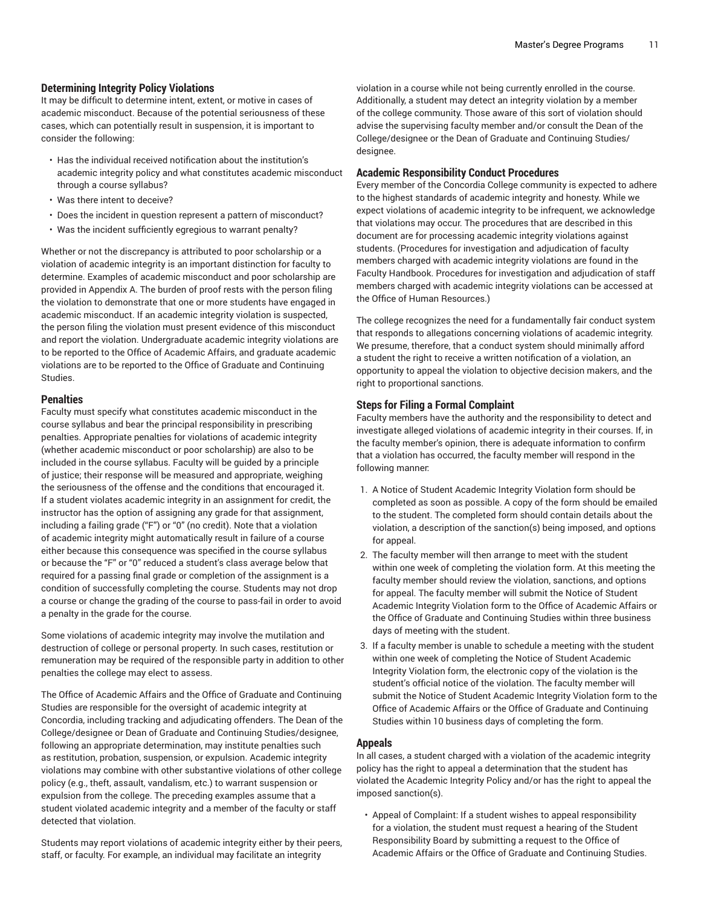### **Determining Integrity Policy Violations**

It may be difficult to determine intent, extent, or motive in cases of academic misconduct. Because of the potential seriousness of these cases, which can potentially result in suspension, it is important to consider the following:

- Has the individual received notification about the institution's academic integrity policy and what constitutes academic misconduct through a course syllabus?
- Was there intent to deceive?
- Does the incident in question represent a pattern of misconduct?
- Was the incident sufficiently egregious to warrant penalty?

Whether or not the discrepancy is attributed to poor scholarship or a violation of academic integrity is an important distinction for faculty to determine. Examples of academic misconduct and poor scholarship are provided in Appendix A. The burden of proof rests with the person filing the violation to demonstrate that one or more students have engaged in academic misconduct. If an academic integrity violation is suspected, the person filing the violation must present evidence of this misconduct and report the violation. Undergraduate academic integrity violations are to be reported to the Office of Academic Affairs, and graduate academic violations are to be reported to the Office of Graduate and Continuing Studies.

### **Penalties**

Faculty must specify what constitutes academic misconduct in the course syllabus and bear the principal responsibility in prescribing penalties. Appropriate penalties for violations of academic integrity (whether academic misconduct or poor scholarship) are also to be included in the course syllabus. Faculty will be guided by a principle of justice; their response will be measured and appropriate, weighing the seriousness of the offense and the conditions that encouraged it. If a student violates academic integrity in an assignment for credit, the instructor has the option of assigning any grade for that assignment, including a failing grade ("F") or "0" (no credit). Note that a violation of academic integrity might automatically result in failure of a course either because this consequence was specified in the course syllabus or because the "F" or "0" reduced a student's class average below that required for a passing final grade or completion of the assignment is a condition of successfully completing the course. Students may not drop a course or change the grading of the course to pass-fail in order to avoid a penalty in the grade for the course.

Some violations of academic integrity may involve the mutilation and destruction of college or personal property. In such cases, restitution or remuneration may be required of the responsible party in addition to other penalties the college may elect to assess.

The Office of Academic Affairs and the Office of Graduate and Continuing Studies are responsible for the oversight of academic integrity at Concordia, including tracking and adjudicating offenders. The Dean of the College/designee or Dean of Graduate and Continuing Studies/designee, following an appropriate determination, may institute penalties such as restitution, probation, suspension, or expulsion. Academic integrity violations may combine with other substantive violations of other college policy (e.g., theft, assault, vandalism, etc.) to warrant suspension or expulsion from the college. The preceding examples assume that a student violated academic integrity and a member of the faculty or staff detected that violation.

Students may report violations of academic integrity either by their peers, staff, or faculty. For example, an individual may facilitate an integrity

violation in a course while not being currently enrolled in the course. Additionally, a student may detect an integrity violation by a member of the college community. Those aware of this sort of violation should advise the supervising faculty member and/or consult the Dean of the College/designee or the Dean of Graduate and Continuing Studies/ designee.

### **Academic Responsibility Conduct Procedures**

Every member of the Concordia College community is expected to adhere to the highest standards of academic integrity and honesty. While we expect violations of academic integrity to be infrequent, we acknowledge that violations may occur. The procedures that are described in this document are for processing academic integrity violations against students. (Procedures for investigation and adjudication of faculty members charged with academic integrity violations are found in the Faculty Handbook. Procedures for investigation and adjudication of staff members charged with academic integrity violations can be accessed at the Office of Human Resources.)

The college recognizes the need for a fundamentally fair conduct system that responds to allegations concerning violations of academic integrity. We presume, therefore, that a conduct system should minimally afford a student the right to receive a written notification of a violation, an opportunity to appeal the violation to objective decision makers, and the right to proportional sanctions.

### **Steps for Filing a Formal Complaint**

Faculty members have the authority and the responsibility to detect and investigate alleged violations of academic integrity in their courses. If, in the faculty member's opinion, there is adequate information to confirm that a violation has occurred, the faculty member will respond in the following manner:

- 1. A Notice of Student Academic Integrity Violation form should be completed as soon as possible. A copy of the form should be emailed to the student. The completed form should contain details about the violation, a description of the sanction(s) being imposed, and options for appeal.
- 2. The faculty member will then arrange to meet with the student within one week of completing the violation form. At this meeting the faculty member should review the violation, sanctions, and options for appeal. The faculty member will submit the Notice of Student Academic Integrity Violation form to the Office of Academic Affairs or the Office of Graduate and Continuing Studies within three business days of meeting with the student.
- 3. If a faculty member is unable to schedule a meeting with the student within one week of completing the Notice of Student Academic Integrity Violation form, the electronic copy of the violation is the student's official notice of the violation. The faculty member will submit the Notice of Student Academic Integrity Violation form to the Office of Academic Affairs or the Office of Graduate and Continuing Studies within 10 business days of completing the form.

### **Appeals**

In all cases, a student charged with a violation of the academic integrity policy has the right to appeal a determination that the student has violated the Academic Integrity Policy and/or has the right to appeal the imposed sanction(s).

• Appeal of Complaint: If a student wishes to appeal responsibility for a violation, the student must request a hearing of the Student Responsibility Board by submitting a request to the Office of Academic Affairs or the Office of Graduate and Continuing Studies.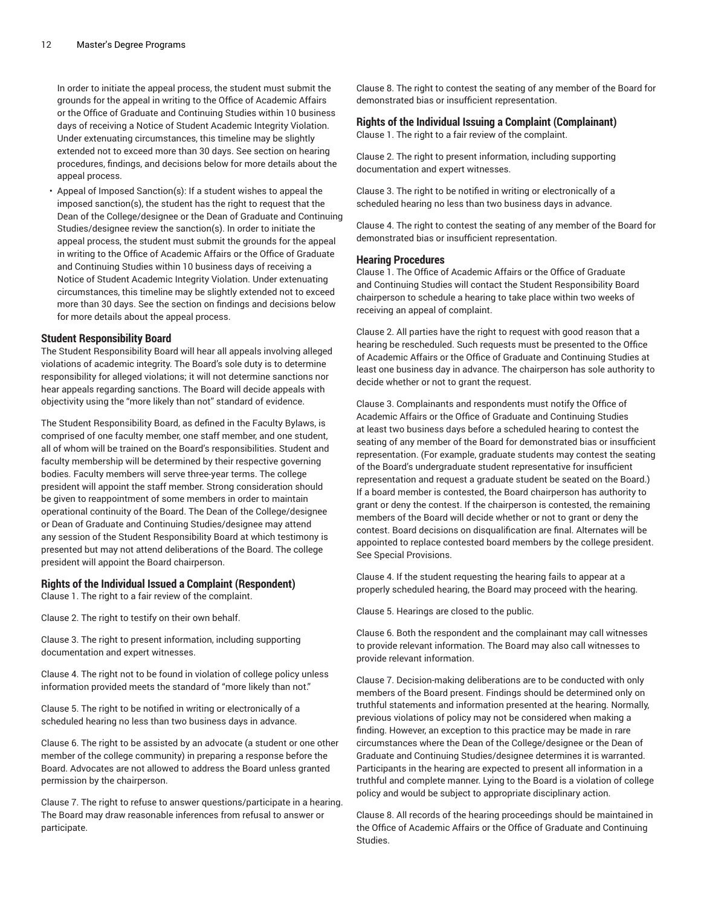In order to initiate the appeal process, the student must submit the grounds for the appeal in writing to the Office of Academic Affairs or the Office of Graduate and Continuing Studies within 10 business days of receiving a Notice of Student Academic Integrity Violation. Under extenuating circumstances, this timeline may be slightly extended not to exceed more than 30 days. See section on hearing procedures, findings, and decisions below for more details about the appeal process.

• Appeal of Imposed Sanction(s): If a student wishes to appeal the imposed sanction(s), the student has the right to request that the Dean of the College/designee or the Dean of Graduate and Continuing Studies/designee review the sanction(s). In order to initiate the appeal process, the student must submit the grounds for the appeal in writing to the Office of Academic Affairs or the Office of Graduate and Continuing Studies within 10 business days of receiving a Notice of Student Academic Integrity Violation. Under extenuating circumstances, this timeline may be slightly extended not to exceed more than 30 days. See the section on findings and decisions below for more details about the appeal process.

### **Student Responsibility Board**

The Student Responsibility Board will hear all appeals involving alleged violations of academic integrity. The Board's sole duty is to determine responsibility for alleged violations; it will not determine sanctions nor hear appeals regarding sanctions. The Board will decide appeals with objectivity using the "more likely than not" standard of evidence.

The Student Responsibility Board, as defined in the Faculty Bylaws, is comprised of one faculty member, one staff member, and one student, all of whom will be trained on the Board's responsibilities. Student and faculty membership will be determined by their respective governing bodies. Faculty members will serve three-year terms. The college president will appoint the staff member. Strong consideration should be given to reappointment of some members in order to maintain operational continuity of the Board. The Dean of the College/designee or Dean of Graduate and Continuing Studies/designee may attend any session of the Student Responsibility Board at which testimony is presented but may not attend deliberations of the Board. The college president will appoint the Board chairperson.

### **Rights of the Individual Issued a Complaint (Respondent)**

Clause 1. The right to a fair review of the complaint.

Clause 2. The right to testify on their own behalf.

Clause 3. The right to present information, including supporting documentation and expert witnesses.

Clause 4. The right not to be found in violation of college policy unless information provided meets the standard of "more likely than not."

Clause 5. The right to be notified in writing or electronically of a scheduled hearing no less than two business days in advance.

Clause 6. The right to be assisted by an advocate (a student or one other member of the college community) in preparing a response before the Board. Advocates are not allowed to address the Board unless granted permission by the chairperson.

Clause 7. The right to refuse to answer questions/participate in a hearing. The Board may draw reasonable inferences from refusal to answer or participate.

Clause 8. The right to contest the seating of any member of the Board for demonstrated bias or insufficient representation.

### **Rights of the Individual Issuing a Complaint (Complainant)**

Clause 1. The right to a fair review of the complaint.

Clause 2. The right to present information, including supporting documentation and expert witnesses.

Clause 3. The right to be notified in writing or electronically of a scheduled hearing no less than two business days in advance.

Clause 4. The right to contest the seating of any member of the Board for demonstrated bias or insufficient representation.

#### **Hearing Procedures**

Clause 1. The Office of Academic Affairs or the Office of Graduate and Continuing Studies will contact the Student Responsibility Board chairperson to schedule a hearing to take place within two weeks of receiving an appeal of complaint.

Clause 2. All parties have the right to request with good reason that a hearing be rescheduled. Such requests must be presented to the Office of Academic Affairs or the Office of Graduate and Continuing Studies at least one business day in advance. The chairperson has sole authority to decide whether or not to grant the request.

Clause 3. Complainants and respondents must notify the Office of Academic Affairs or the Office of Graduate and Continuing Studies at least two business days before a scheduled hearing to contest the seating of any member of the Board for demonstrated bias or insufficient representation. (For example, graduate students may contest the seating of the Board's undergraduate student representative for insufficient representation and request a graduate student be seated on the Board.) If a board member is contested, the Board chairperson has authority to grant or deny the contest. If the chairperson is contested, the remaining members of the Board will decide whether or not to grant or deny the contest. Board decisions on disqualification are final. Alternates will be appointed to replace contested board members by the college president. See Special Provisions.

Clause 4. If the student requesting the hearing fails to appear at a properly scheduled hearing, the Board may proceed with the hearing.

Clause 5. Hearings are closed to the public.

Clause 6. Both the respondent and the complainant may call witnesses to provide relevant information. The Board may also call witnesses to provide relevant information.

Clause 7. Decision-making deliberations are to be conducted with only members of the Board present. Findings should be determined only on truthful statements and information presented at the hearing. Normally, previous violations of policy may not be considered when making a finding. However, an exception to this practice may be made in rare circumstances where the Dean of the College/designee or the Dean of Graduate and Continuing Studies/designee determines it is warranted. Participants in the hearing are expected to present all information in a truthful and complete manner. Lying to the Board is a violation of college policy and would be subject to appropriate disciplinary action.

Clause 8. All records of the hearing proceedings should be maintained in the Office of Academic Affairs or the Office of Graduate and Continuing Studies.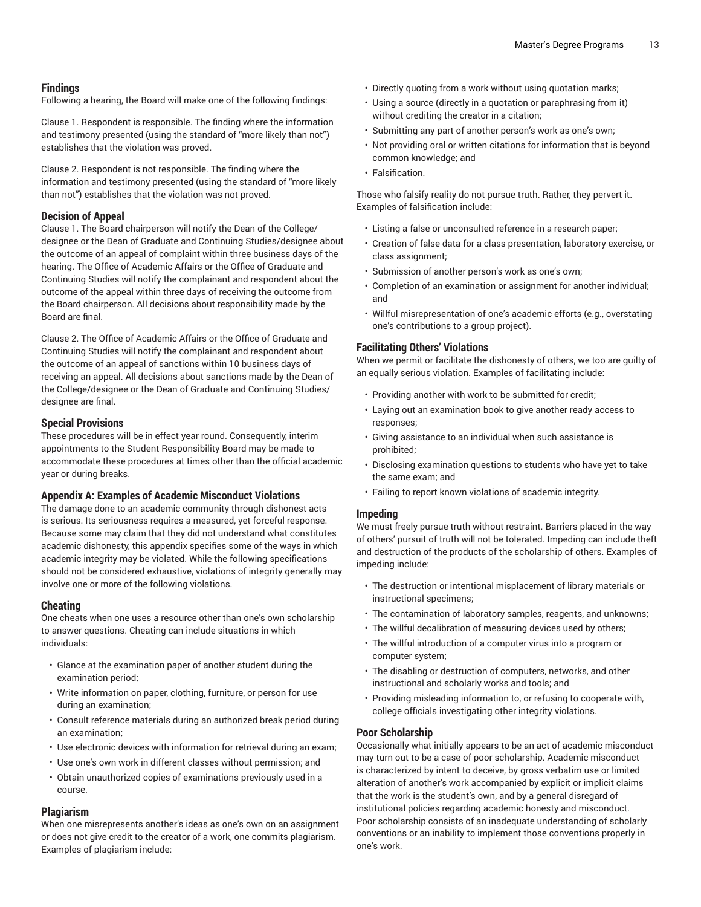### **Findings**

Following a hearing, the Board will make one of the following findings:

Clause 1. Respondent is responsible. The finding where the information and testimony presented (using the standard of "more likely than not") establishes that the violation was proved.

Clause 2. Respondent is not responsible. The finding where the information and testimony presented (using the standard of "more likely than not") establishes that the violation was not proved.

### **Decision of Appeal**

Clause 1. The Board chairperson will notify the Dean of the College/ designee or the Dean of Graduate and Continuing Studies/designee about the outcome of an appeal of complaint within three business days of the hearing. The Office of Academic Affairs or the Office of Graduate and Continuing Studies will notify the complainant and respondent about the outcome of the appeal within three days of receiving the outcome from the Board chairperson. All decisions about responsibility made by the Board are final.

Clause 2. The Office of Academic Affairs or the Office of Graduate and Continuing Studies will notify the complainant and respondent about the outcome of an appeal of sanctions within 10 business days of receiving an appeal. All decisions about sanctions made by the Dean of the College/designee or the Dean of Graduate and Continuing Studies/ designee are final.

### **Special Provisions**

These procedures will be in effect year round. Consequently, interim appointments to the Student Responsibility Board may be made to accommodate these procedures at times other than the official academic year or during breaks.

### **Appendix A: Examples of Academic Misconduct Violations**

The damage done to an academic community through dishonest acts is serious. Its seriousness requires a measured, yet forceful response. Because some may claim that they did not understand what constitutes academic dishonesty, this appendix specifies some of the ways in which academic integrity may be violated. While the following specifications should not be considered exhaustive, violations of integrity generally may involve one or more of the following violations.

### **Cheating**

One cheats when one uses a resource other than one's own scholarship to answer questions. Cheating can include situations in which individuals:

- Glance at the examination paper of another student during the examination period;
- Write information on paper, clothing, furniture, or person for use during an examination;
- Consult reference materials during an authorized break period during an examination;
- Use electronic devices with information for retrieval during an exam;
- Use one's own work in different classes without permission; and
- Obtain unauthorized copies of examinations previously used in a course.

### **Plagiarism**

When one misrepresents another's ideas as one's own on an assignment or does not give credit to the creator of a work, one commits plagiarism. Examples of plagiarism include:

- Directly quoting from a work without using quotation marks;
- Using a source (directly in a quotation or paraphrasing from it) without crediting the creator in a citation;
- Submitting any part of another person's work as one's own;
- Not providing oral or written citations for information that is beyond common knowledge; and
- Falsification.

Those who falsify reality do not pursue truth. Rather, they pervert it. Examples of falsification include:

- Listing a false or unconsulted reference in a research paper;
- Creation of false data for a class presentation, laboratory exercise, or class assignment;
- Submission of another person's work as one's own;
- Completion of an examination or assignment for another individual; and
- Willful misrepresentation of one's academic efforts (e.g., overstating one's contributions to a group project).

### **Facilitating Others' Violations**

When we permit or facilitate the dishonesty of others, we too are guilty of an equally serious violation. Examples of facilitating include:

- Providing another with work to be submitted for credit;
- Laying out an examination book to give another ready access to responses;
- Giving assistance to an individual when such assistance is prohibited;
- Disclosing examination questions to students who have yet to take the same exam; and
- Failing to report known violations of academic integrity.

### **Impeding**

We must freely pursue truth without restraint. Barriers placed in the way of others' pursuit of truth will not be tolerated. Impeding can include theft and destruction of the products of the scholarship of others. Examples of impeding include:

- The destruction or intentional misplacement of library materials or instructional specimens;
- The contamination of laboratory samples, reagents, and unknowns;
- The willful decalibration of measuring devices used by others;
- The willful introduction of a computer virus into a program or computer system;
- The disabling or destruction of computers, networks, and other instructional and scholarly works and tools; and
- Providing misleading information to, or refusing to cooperate with, college officials investigating other integrity violations.

### **Poor Scholarship**

Occasionally what initially appears to be an act of academic misconduct may turn out to be a case of poor scholarship. Academic misconduct is characterized by intent to deceive, by gross verbatim use or limited alteration of another's work accompanied by explicit or implicit claims that the work is the student's own, and by a general disregard of institutional policies regarding academic honesty and misconduct. Poor scholarship consists of an inadequate understanding of scholarly conventions or an inability to implement those conventions properly in one's work.